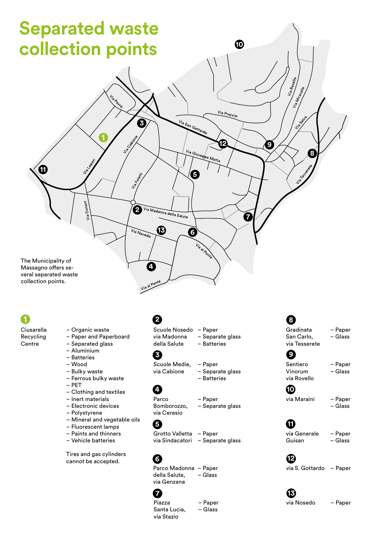

#### 1 Ciusarella

- Recycling **Centre**
- Organic waste
- Paper and Paperboard
- Separated glass
- Aluminium
- Batteries
- Wood
- Bulky waste
- Ferrous bulky waste
- PET
- Clothing and textiles
- Inert materials
- Electronic devices
- Polystyrene
- Mineral and vegetable oils
- Fluorescent lamps
- Paints and thinners – Vehicle batteries
- 

Tires and gas cylinders cannot be accepted.

## **2**

Scuole Nosedo – Paper via Madonna della Salute

– Separate glass – Batteries

#### **3**

Scuole Medie, via Cabione

– Paper – Separate glass – Batteries

Parco Bomborozzo, via Ceresio

– Separate glass

#### Grotto Valletta – Paper via Sindacatori – Separate glass

– Paper

# **6**

**5**

**4**

Parco Madonna – Paper della Salute, via Genzana – Glass

### **7**

Piazza Santa Lucia, via Stazio

– Paper – Glass

### **8**

via Maraini – Paper Sentiero Vinorum via Rovello Gradinata San Carlo, via Tesserete – Paper – Glass – Paper – Glass **9 10**

#### – Glass

#### via Generale Guisan **11**

– Paper – Glass

#### **12**

via S. Gottardo – Paper

# **13**

via Nosedo – Paper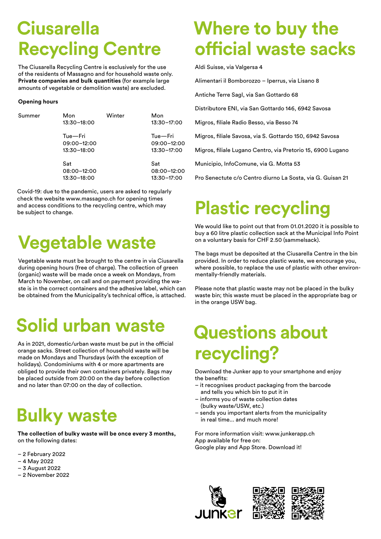# **Ciusarella Recycling Centre**

The Ciusarella Recycling Centre is esclusively for the use of the residents of Massagno and for household waste only. **Private companies and bulk quantities** (for example large amounts of vegetable or demolition waste) are excluded.

#### **Opening hours**

| Summer | Mon<br>$13:30 - 18:00$                | Winter | Mon<br>$13:30 - 17:00$                |
|--------|---------------------------------------|--------|---------------------------------------|
|        | Tue-Fri<br>09:00-12:00<br>13:30-18:00 |        | Tue-Fri<br>09:00-12:00<br>13:30-17:00 |
|        | Sat<br>08:00-12:00<br>13:30-18:00     |        | Sat<br>08:00-12:00<br>$13:30 - 17:00$ |

Covid-19: due to the pandemic, users are asked to regularly check the website www.massagno.ch for opening times and access conditions to the recycling centre, which may be subject to change.

# **Vegetable waste**

Vegetable waste must be brought to the centre in via Ciusarella during opening hours (free of charge). The collection of green (organic) waste will be made once a week on Mondays, from March to November, on call and on payment providing the waste is in the correct containers and the adhesive label, which can be obtained from the Municipality's technical office, is attached.

# **Solid urban waste**

As in 2021, domestic/urban waste must be put in the official orange sacks. Street collection of household waste will be made on Mondays and Thursdays (with the exception of holidays). Condominiums with 4 or more apartments are obliged to provide their own containers privately. Bags may be placed outside from 20:00 on the day before collection and no later than 07:00 on the day of collection.

# **Bulky waste**

**The collection of bulky waste will be once every 3 months,**  on the following dates:

- 2 February 2022
- 4 May 2022
- 3 August 2022
- 2 November 2022

# **Where to buy the official waste sacks**

Aldi Suisse, via Valgersa 4

Alimentari il Bomborozzo – Iperrus, via Lisano 8

Antiche Terre Sagl, via San Gottardo 68

Distributore ENI, via San Gottardo 146, 6942 Savosa

Migros, filiale Radio Besso, via Besso 74

Migros, filiale Savosa, via S. Gottardo 150, 6942 Savosa

Migros, filiale Lugano Centro, via Pretorio 15, 6900 Lugano

Municipio, InfoComune, via G. Motta 53

Pro Senectute c/o Centro diurno La Sosta, via G. Guisan 21

# **Plastic recycling**

We would like to point out that from 01.01.2020 it is possible to buy a 60 litre plastic collection sack at the Municipal Info Point on a voluntary basis for CHF 2.50 (sammelsack).

The bags must be deposited at the Ciusarella Centre in the bin provided. In order to reduce plastic waste, we encourage you, where possible, to replace the use of plastic with other environmentally-friendly materials.

Please note that plastic waste may not be placed in the bulky waste bin; this waste must be placed in the appropriate bag or in the orange USW bag.

# **Questions about recycling?**

Download the Junker app to your smartphone and enjoy the benefits:

- it recognises product packaging from the barcode and tells you which bin to put it in
- informs you of waste collection dates (bulky waste/USW, etc.)
- sends you important alerts from the municipality in real time... and much more!

For more information visit: www.junkerapp.ch App available for free on: Google play and App Store. Download it!



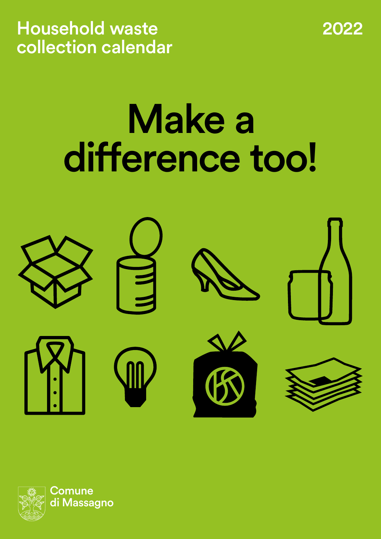Household waste 2022 collection calendar

# Make a difference too!



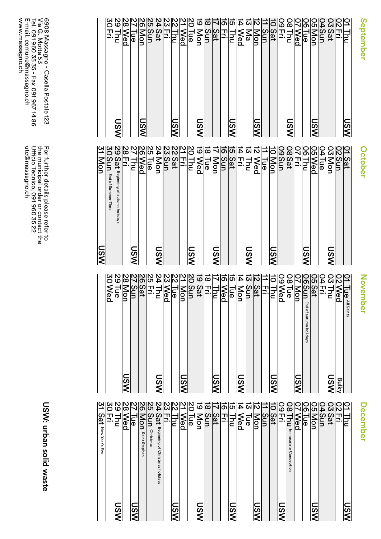**October** October

**November** November

December December

|                       | 목.                           |
|-----------------------|------------------------------|
| ၯ                     | ⊃<br>⊵ا                      |
|                       | စ္တ                          |
|                       | ۱æ                           |
| ၯ                     | <u>WWWWW</u><br>g            |
|                       | 15                           |
|                       | Sat                          |
|                       | ייד,                         |
| $\boldsymbol{\omega}$ | ≔                            |
|                       | ဨ                            |
|                       | ခြ<br>(                      |
| ဇွ                    | lol                          |
|                       | $rac{\text{S}}{\text{N}}$ on |
|                       | Sat                          |
|                       | 괴물                           |
| ပွ                    |                              |
|                       | ဨ                            |
|                       | ്ഥ                           |
| ମ                     | ၉                            |
|                       | ⊆<br>⊃                       |
|                       | Sat                          |
|                       | 뀌                            |
| <u>ທ</u>              |                              |
|                       | MW4 10 0 V @ 0 0<br>ဨ        |
|                       | ΙФ                           |
| MSN                   | ၉                            |
|                       | 5                            |
|                       | Sat                          |
|                       |                              |
| m                     |                              |
|                       | ທ<br><b>epte</b><br>ወ        |
|                       |                              |

| <b>ISW</b>            | g                                                                                          |
|-----------------------|--------------------------------------------------------------------------------------------|
|                       | Ξ<br>End<br>٩<br>δū<br>з<br>mer<br>⊣<br>Б<br>$\Phi$                                        |
|                       | $\overline{\mathfrak{s}}$<br>ᡂ<br>eginning<br>$\overline{a}$<br>autumn holiday<br>$\omega$ |
|                       | п                                                                                          |
| S                     | ⊂                                                                                          |
|                       | စ္ပြ                                                                                       |
|                       | lФ.                                                                                        |
| ഗ                     | lon                                                                                        |
|                       | S                                                                                          |
|                       | ျပာ<br>नि $\overline{a}$                                                                   |
|                       | 곬.                                                                                         |
| <u>ທ</u><br>'<        | <u>s</u>                                                                                   |
|                       | စ္ပ                                                                                        |
|                       | ۱Ф                                                                                         |
| $\boldsymbol{\omega}$ | lon                                                                                        |
|                       | S                                                                                          |
|                       | Sat                                                                                        |
|                       | 그.                                                                                         |
| cn                    | ⊇                                                                                          |
|                       | ဨ                                                                                          |
|                       | ۱ō                                                                                         |
| ပ္ရ<br>⋜              | ဠ                                                                                          |
|                       | Ξ                                                                                          |
|                       | $\overline{\mathbf{a}}$                                                                    |
|                       |                                                                                            |
| ହୁ<br>k               |                                                                                            |
|                       | ហ<br>O<br>Q                                                                                |
|                       | ั้ง                                                                                        |
| $\boldsymbol{\omega}$ | טוועון בו<br>o<br>J                                                                        |
|                       | 5<br>5                                                                                     |
|                       | Sat                                                                                        |
|                       |                                                                                            |

|                | Wed                                       |
|----------------|-------------------------------------------|
|                | န                                         |
| MSN            | Joh                                       |
|                | ທ<br>s                                    |
|                | $\frac{1}{2}$                             |
|                | 곺.                                        |
| MSN            | E                                         |
|                | O<br>Q                                    |
|                | ခ<br>စ                                    |
| MSN            | $\frac{1}{2}$                             |
|                | Sun                                       |
|                | Sat                                       |
|                | Ξ.                                        |
| <u> თ</u><br>ଽ | 55                                        |
|                | ved                                       |
|                | န                                         |
| NSI            | von                                       |
|                | S                                         |
|                | Sat                                       |
|                | 곻                                         |
| NSN            | 5<br>5                                    |
|                | ю<br>eq                                   |
|                | ထ<br>န                                    |
| MSN            | lg                                        |
|                | ന<br>$\Xi$<br>End<br>읶<br>autumn holidays |
|                | Sat                                       |
|                | <b>NAID</b><br>⊐.                         |
| <b>NSI</b>     | Ξ                                         |
| <b>Bulky</b>   | OO                                        |
|                | ے<br>ه<br>All Saints                      |
|                |                                           |

|            | Sat<br>New Year's<br>Eve                                                                 |
|------------|------------------------------------------------------------------------------------------|
|            | $\exists$                                                                                |
| ღ          | U U N W<br>⋷                                                                             |
|            |                                                                                          |
|            | စ္                                                                                       |
| ଥି         | ۱æ                                                                                       |
|            | O<br>ဖ<br>≌.<br>₹<br>Stephen                                                             |
|            | Б<br>Christmas                                                                           |
|            | 19 19 2  2  2  2  2  2  2  2  2  2  3  3 <br>ăt<br>Beginning of<br>Christmas<br>holidays |
|            | ₹.                                                                                       |
| n,         | ⊂                                                                                        |
|            | ဨ                                                                                        |
|            | ခု<br>ခ                                                                                  |
| <b>NSI</b> | jon                                                                                      |
|            | Ĕ                                                                                        |
|            | Sat                                                                                      |
|            | Ⅎ                                                                                        |
| ັດ         | 의의보인의                                                                                    |
|            | စ<br>Q                                                                                   |
|            | ।ଚ                                                                                       |
| <b>DSW</b> | g                                                                                        |
|            | E                                                                                        |
|            | Sat                                                                                      |
| w          | ∃'                                                                                       |
|            | lco<br>mmaculate<br>റ<br>onception                                                       |
|            | စ္ပ                                                                                      |
|            | σ<br>١æ                                                                                  |
| <u>ମ୍ବ</u> | תז<br>$\frac{0}{1}$                                                                      |
|            | ≏<br>5                                                                                   |
|            | ເຟ<br>Sat                                                                                |
|            |                                                                                          |
| NSN        | Ξ                                                                                        |
|            |                                                                                          |

6908 Massagno - Casella Postale 123<br>Via G. Motta 53<br>Tel. 091 960 35 35 - Fax 091 967 14 86<br>E-mail: comune@massagno.ch<br>www.massagno.ch www.massagno.ch Tel. 091 960 35 35 - Fax 091 967 14 86 Via G. Motta 53 6908 Massagno - Casella Postale 123 E-mail: comune@massagno.ch

> For further details please refer to<br>the municipal order or contact the<br>Ufficio Tecnico, 091 960 35 22<br>utc@massagno.ch utc@massagno.ch Ufficio Tecnico, 091 960 35 22 the municipal order or contact the For further details please refer to

> > USW: urban solid waste USW: urban solid waste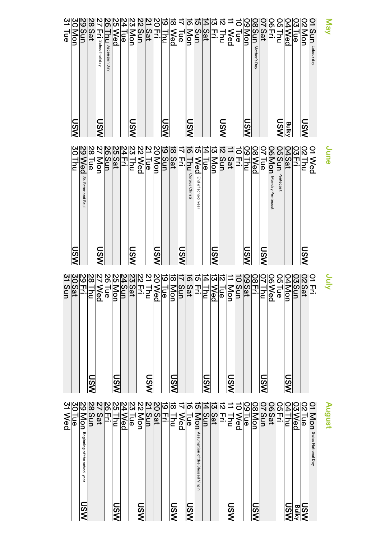|                                     | န္စ                                    |
|-------------------------------------|----------------------------------------|
| <b>NSN</b>                          | <u>NWWWW</u><br>Jon                    |
|                                     | E                                      |
|                                     | Sat                                    |
| χšι<br>I<                           | 3<br>School<br>holiday                 |
|                                     | Αs<br>$\ddot{\Omega}$<br>ension<br>Day |
|                                     | $\overline{P}$                         |
|                                     | န္စ                                    |
| $\overline{\widetilde{\mathsf{S}}}$ | ∣o⊓                                    |
|                                     | Sun                                    |
|                                     | Sat                                    |
|                                     | 꼬                                      |
| ັທ                                  | ΓĔ                                     |
|                                     | lo<br>Q                                |
|                                     | ∣T                                     |
| ທ                                   | $\frac{1}{9}$                          |
|                                     |                                        |
|                                     | Eri<br>Sat                             |
|                                     |                                        |
| ັທ                                  | ΙŠΙ                                    |
|                                     | <b>Ved</b>                             |
|                                     |                                        |
| IS<br>N                             | $\frac{1}{2}$                          |
|                                     | $\infty$<br>Sun<br>Mothe<br>S<br>Day   |
|                                     | Sat                                    |
|                                     | וֹסוי<br>곺.                            |
| <b>Bulky</b>                        | תטו<br>īΞ                              |
|                                     | ₽<br>Ved                               |
|                                     | $\overline{M}$ N<br>ם<br>ה             |
| MSN                                 | $\overline{\overline{q}}$              |
|                                     | Sun<br>┍<br>ä<br>ŏur<br>day            |
|                                     | <b>AeM</b>                             |

| lSQ                                                 | W N N N N<br>Γŋ                                                                    |
|-----------------------------------------------------|------------------------------------------------------------------------------------|
|                                                     | စ္ပ<br>Sť.<br>Peter<br>and<br>Paul                                                 |
|                                                     | $\frac{1}{2}$<br>መ                                                                 |
| ⊂<br>$\boldsymbol{\omega}$<br>$\tilde{\phantom{a}}$ | ,O<br>È                                                                            |
|                                                     | תוו<br>Ξ                                                                           |
|                                                     | <u> 1   이 여 년 이 이 이 이 이 이 이 이 이 이 이 이 이 있다</u><br>Sat                              |
|                                                     | ц<br>ℶ.                                                                            |
| <u>ა</u>                                            | Ξ                                                                                  |
|                                                     | စ<br>Q                                                                             |
|                                                     | ΙФ                                                                                 |
| ທ                                                   | $\frac{1}{2}$                                                                      |
|                                                     | Ξ                                                                                  |
|                                                     | Sat                                                                                |
| <u>USV</u>                                          | 꾸                                                                                  |
|                                                     | ē<br>Corpus<br>Christi                                                             |
|                                                     | စ္ပ<br>Ęnd<br>ᢩঀ<br>S<br>ğ.<br>$\frac{8}{1}$<br>る<br>ø<br>э.                       |
|                                                     | ۱Œ                                                                                 |
| $\boldsymbol{\omega}$                               | $\mathbf{S}$                                                                       |
|                                                     | 5                                                                                  |
|                                                     | $\frac{2at}{1}$                                                                    |
|                                                     | ᆩ<br>3                                                                             |
| ဖွ                                                  | ιο                                                                                 |
|                                                     | Ιœ<br>ဨ                                                                            |
| ഗ                                                   | ΙФ                                                                                 |
|                                                     | ဌ $\mathrel{\mathsf{S}}$<br>Σ<br>londay<br>᠊ᠣ<br>$\, \Phi$<br>ntecos<br>$\ddot{ }$ |
|                                                     | コ<br>Pentecost                                                                     |
|                                                     | $\overline{a}$                                                                     |
|                                                     | <b>GIN</b><br>П<br>Ξ.                                                              |
| n                                                   |                                                                                    |
|                                                     | စ္                                                                                 |
|                                                     | oune                                                                               |

#### <u>ດ</u> July <u>국</u> 02 02<br>04 Moe<br>06 Tue<br>06 Thu<br>07 Thu 07 Thu<br><u>09 Sat</u><br>09<br>10 Sun Sun  $\overline{\phantom{0}}$ Mon ನ Tue ದ **Ned** 14 <u>L</u><br>E ភ 국. ಕ Sat  $\vec{\mathcal{L}}$ Տսո<br>Տ ಹ Non<br>S ಹ <u>19 Tue</u><br><u>20 Wed</u><br>21 Thu Thu 22<br>22 <u>국</u> <u>ռ</u> Sat 54<br>4 Տսո<br>Տ ჯ<br>თ Mon დ<br>თ ا<br>ه <u>ج</u> **N**ed ಜ Thu <u>ي</u><br>0 2<u>9 Eri</u><br>20<br>30<br>31<br>31 Տ<br>Տ USW USW USW USW USW USW USW USW

|                            | <b>Wed</b>                                           |
|----------------------------|------------------------------------------------------|
|                            | Ге                                                   |
| <u>NSN</u>                 | ón<br>Beginning<br>ᢩঀ<br>동<br>school year            |
|                            |                                                      |
|                            | Sat                                                  |
|                            | Ч.                                                   |
| MSN                        | 르                                                    |
|                            | Ned<br>o                                             |
|                            | <u>ခြ</u>                                            |
| NSI                        | Jon                                                  |
|                            | Sun                                                  |
|                            | Sat                                                  |
|                            | 곬.                                                   |
| VSL                        | Ξ                                                    |
|                            | ဨ                                                    |
| NSI                        | န္စ                                                  |
|                            | Jon<br>Assumption<br>of the<br><b>Blessed Virgin</b> |
|                            | S                                                    |
|                            | Sat                                                  |
|                            | 곬                                                    |
| ΝŠΙ                        | 2<br>2                                               |
|                            | $\overline{\mathsf{P}}$                              |
|                            | <u>ခ</u>                                             |
| <b>NSN</b>                 | ιοη                                                  |
|                            | ls                                                   |
|                            | $\tilde{\mathbf{z}}$                                 |
|                            | חטו<br>곳.                                            |
| NSI                        | <u>50</u>                                            |
|                            | $U \omega $ 4<br>$\overline{\mathsf{P}}$             |
| <b>JSW</b><br><b>Bulky</b> | န                                                    |
|                            | Mon<br>Swiss<br>National Day                         |
|                            |                                                      |
|                            | August                                               |